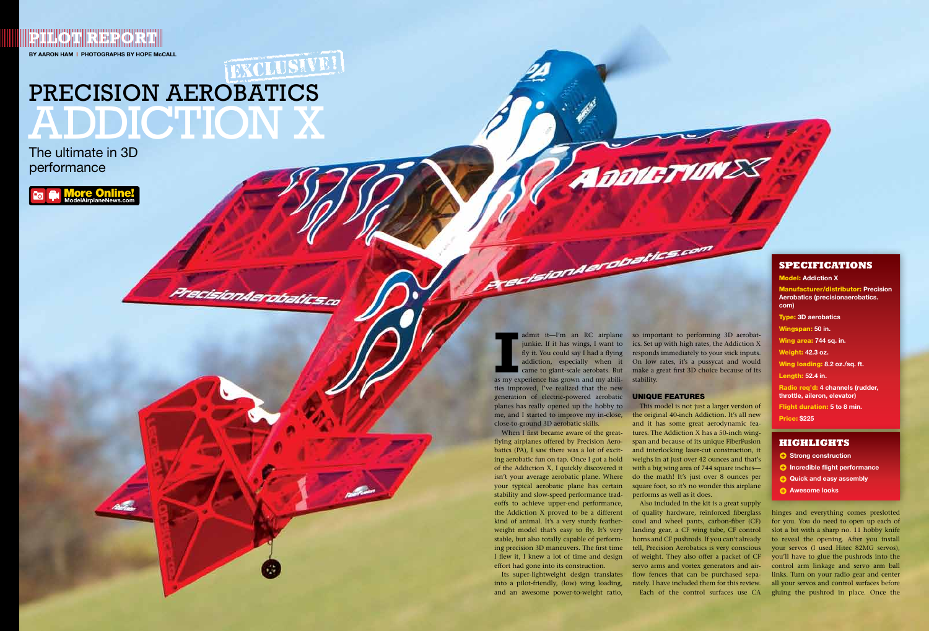**By Aaron ham** | **Photographs by Hope McCAll Pillot Report** 

# [EXCLUSIVE!] PRECISION AEROBATICS Addiction X

PrecisionAerobatics.co

#### **SPECIFICATIONS**

Model: **Addiction X** Manufacturer/distributor: **Precision Aerobatics (precisionaerobatics. com)** Type: **3D aerobatics** Wingspan: **50 in.** Wing area: **744 sq. in.** Weight: **42.3 oz.** Wing loading: **8.2 oz./sq. ft.** Length: **52.4 in.** Radio req'd: **4 channels (rudder, throttle, aileron, elevator)** Flight duration: **5 to 8 min.** Price: **\$225**

**III** admit it—I'm an RC airplane<br> **III** junkie. If it has wings, I want to<br>
fly it. You could say I had a flying<br>
addiction, especially when it<br>
came to giant-scale aerobats. But<br>
as my experience has grown and my abiliaddiction, especially when it came to giant-scale aerobats. But ties improved, I've realized that the new generation of electric-powered aerobatic **UNIQUE FEATURES** planes has really opened up the hobby to

ecision der obatics.com

#### **Highlights**

- $\bullet$  Strong construction
- $\bullet$  Incredible flight performance
- $\bullet$  Quick and easy assembly
- **example 2 Awesome looks**

admit it—I'm an RC airplane so important to performing 3D aerobatjunkie. If it has wings, I want to ics. Set up with high rates, the Addiction X fly it. You could say I had a flying responds immediately to your stick inputs. On low rates, it's a pussycat and would make a great first 3D choice because of its stability.

close-to-ground 3D aerobatic skills. When I first became aware of the greatflying airplanes offered by Precision Aerobatics (PA), I saw there was a lot of exciting aerobatic fun on tap. Once I got a hold of the Addiction X, I quickly discovered it isn't your average aerobatic plane. Where your typical aerobatic plane has certain stability and slow-speed performance tradeoffs to achieve upper-end performance, the Addiction X proved to be a different kind of animal. It's a very sturdy featherweight model that's easy to fly. It's very stable, but also totally capable of performing precision 3D maneuvers. The first time effort had gone into its construction.

me, and I started to improve my in-close, the original 40-inch Addiction. It's all new This model is not just a larger version of and it has some great aerodynamic features. The Addiction X has a 50-inch wingspan and because of its unique FiberFusion and interlocking laser-cut construction, it weighs in at just over 42 ounces and that's with a big wing area of 744 square inches do the math! It's just over 8 ounces per square foot, so it's no wonder this airplane performs as well as it does.

Its super-lightweight design translates into a pilot-friendly, (low) wing loading, and an awesome power-to-weight ratio,

I flew it, I knew a lot of time and design of weight. They also offer a packet of CF Also included in the kit is a great supply of quality hardware, reinforced fiberglass cowl and wheel pants, carbon-fiber (CF) landing gear, a CF wing tube, CF control horns and CF pushrods. If you can't already tell, Precision Aerobatics is very conscious servo arms and vortex generators and airflow fences that can be purchased separately. I have included them for this review. Each of the control surfaces use CA



The ultimate in 3D performance

> hinges and everything comes preslotted for you. You do need to open up each of slot a bit with a sharp no. 11 hobby knife to reveal the opening. After you install your servos (I used Hitec 82MG servos), you'll have to glue the pushrods into the control arm linkage and servo arm ball links. Turn on your radio gear and center all your servos and control surfaces before gluing the pushrod in place. Once the

More Online!  **ModelAirplaneNews.com**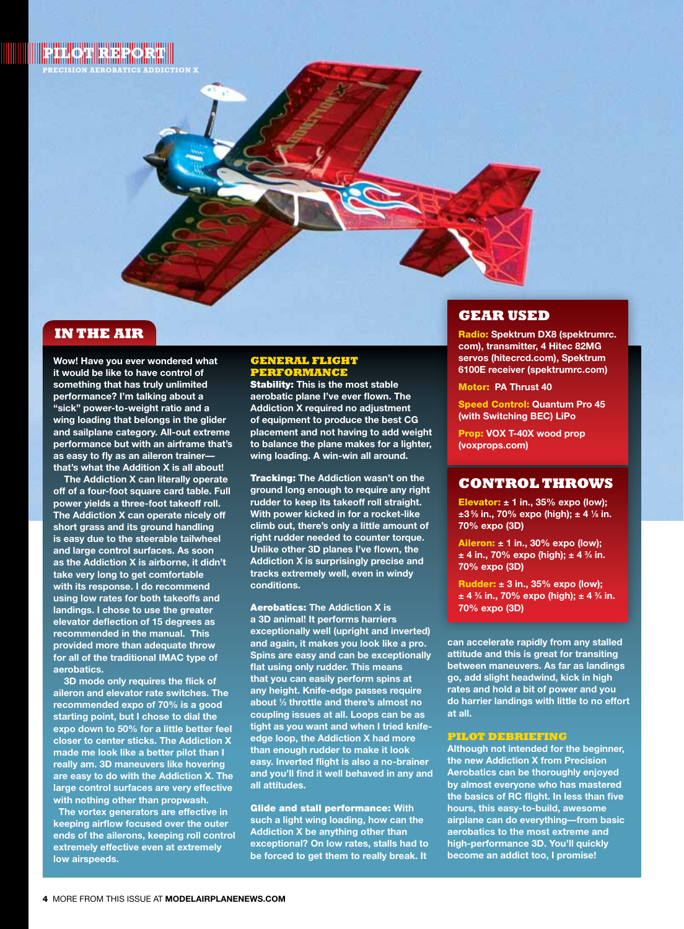

# **IN THE AIR**

**Wow! Have you ever wondered what it would be like to have control of something that has truly unlimited performance? I'm talking about a "sick" power-to-weight ratio and a wing loading that belongs in the glider and sailplane category. All-out extreme performance but with an airframe that's as easy to fly as an aileron trainer that's what the Addition X is all about!** 

**The Addiction X can literally operate off of a four-foot square card table. Full power yields a three-foot takeoff roll. The Addiction X can operate nicely off short grass and its ground handling is easy due to the steerable tailwheel and large control surfaces. As soon as the Addiction X is airborne, it didn't take very long to get comfortable with its response. I do recommend using low rates for both takeoffs and landings. I chose to use the greater elevator deflection of 15 degrees as recommended in the manual. This provided more than adequate throw for all of the traditional IMAC type of aerobatics.** 

**3D mode only requires the flick of aileron and elevator rate switches. The recommended expo of 70% is a good starting point, but I chose to dial the expo down to 50% for a little better feel closer to center sticks. The Addiction X made me look like a better pilot than I really am. 3D maneuvers like hovering are easy to do with the Addiction X. The large control surfaces are very effective with nothing other than propwash.** 

 **The vortex generators are effective in keeping airflow focused over the outer ends of the ailerons, keeping roll control extremely effective even at extremely low airspeeds.** 

### **General Flight Performance**

Stability: **This is the most stable aerobatic plane I've ever flown. The Addiction X required no adjustment of equipment to produce the best CG placement and not having to add weight to balance the plane makes for a lighter, wing loading. A win-win all around.**

Tracking: **The Addiction wasn't on the ground long enough to require any right rudder to keep its takeoff roll straight. With power kicked in for a rocket-like climb out, there's only a little amount of right rudder needed to counter torque. Unlike other 3D planes I've flown, the Addiction X is surprisingly precise and tracks extremely well, even in windy conditions.**

Aerobatics: **The Addiction X is a 3D animal! It performs harriers exceptionally well (upright and inverted) and again, it makes you look like a pro. Spins are easy and can be exceptionally flat using only rudder. This means that you can easily perform spins at any height. Knife-edge passes require about 1 ⁄3 throttle and there's almost no coupling issues at all. Loops can be as tight as you want and when I tried knifeedge loop, the Addiction X had more than enough rudder to make it look easy. Inverted flight is also a no-brainer and you'll find it well behaved in any and all attitudes.**

Glide and stall performance: **With such a light wing loading, how can the Addiction X be anything other than exceptional? On low rates, stalls had to be forced to get them to really break. It** 

# **Gear Used**

Radio: **Spektrum DX8 (spektrumrc. com), transmitter, 4 Hitec 82MG servos (hitecrcd.com), Spektrum 6100E receiver (spektrumrc.com)**

Motor: **PA Thrust 40** 

Speed Control: **Quantum Pro 45 (with Switching BEC) LiPo** 

Prop: **VOX T-40X wood prop (voxprops.com)**

## **Control Throws**

Elevator: **± 1 in., 35% expo (low); ±3 5⁄8 in., 70% expo (high); ± 4 1 ⁄8 in. 70% expo (3D)**

Aileron: **± 1 in., 30% expo (low); ± 4 in., 70% expo (high); ± 4 3 ⁄4 in. 70% expo (3D)**

Rudder: **± 3 in., 35% expo (low); ± 4 3 ⁄4 in., 70% expo (high); ± 4 3 ⁄4 in. 70% expo (3D)**

**can accelerate rapidly from any stalled attitude and this is great for transiting between maneuvers. As far as landings go, add slight headwind, kick in high rates and hold a bit of power and you do harrier landings with little to no effort at all.** 

#### **Pilot Debriefing**

**Although not intended for the beginner, the new Addiction X from Precision Aerobatics can be thoroughly enjoyed by almost everyone who has mastered the basics of RC flight. In less than five hours, this easy-to-build, awesome airplane can do everything—from basic aerobatics to the most extreme and high-performance 3D. You'll quickly become an addict too, I promise!**